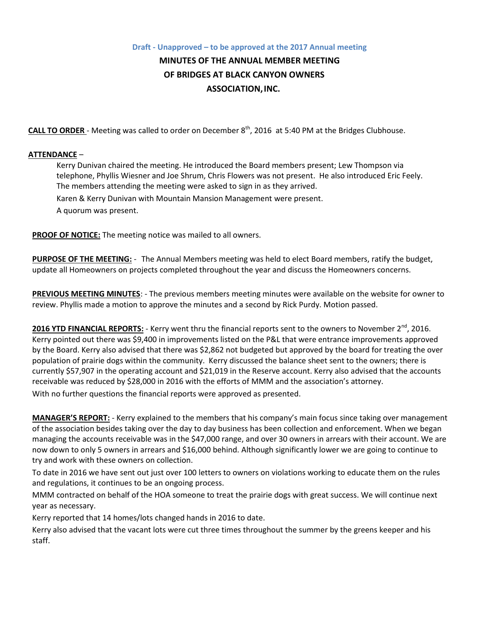## **Draft - Unapproved – to be approved at the 2017 Annual meeting MINUTES OF THE ANNUAL MEMBER MEETING OF BRIDGES AT BLACK CANYON OWNERS ASSOCIATION,INC.**

**CALL TO ORDER** - Meeting was called to order on December 8<sup>th</sup>, 2016 at 5:40 PM at the Bridges Clubhouse.

## **ATTENDANCE** –

Kerry Dunivan chaired the meeting. He introduced the Board members present; Lew Thompson via telephone, Phyllis Wiesner and Joe Shrum, Chris Flowers was not present. He also introduced Eric Feely. The members attending the meeting were asked to sign in as they arrived. Karen & Kerry Dunivan with Mountain Mansion Management were present. A quorum was present.

**PROOF OF NOTICE:** The meeting notice was mailed to all owners.

**PURPOSE OF THE MEETING:** - The Annual Members meeting was held to elect Board members, ratify the budget, update all Homeowners on projects completed throughout the year and discuss the Homeowners concerns.

**PREVIOUS MEETING MINUTES**: - The previous members meeting minutes were available on the website for owner to review. Phyllis made a motion to approve the minutes and a second by Rick Purdy. Motion passed.

**2016 YTD FINANCIAL REPORTS:** - Kerry went thru the financial reports sent to the owners to November 2<sup>nd</sup>, 2016. Kerry pointed out there was \$9,400 in improvements listed on the P&L that were entrance improvements approved by the Board. Kerry also advised that there was \$2,862 not budgeted but approved by the board for treating the over population of prairie dogs within the community. Kerry discussed the balance sheet sent to the owners; there is currently \$57,907 in the operating account and \$21,019 in the Reserve account. Kerry also advised that the accounts receivable was reduced by \$28,000 in 2016 with the efforts of MMM and the association's attorney. With no further questions the financial reports were approved as presented.

**MANAGER'S REPORT:** - Kerry explained to the members that his company's main focus since taking over management of the association besides taking over the day to day business has been collection and enforcement. When we began managing the accounts receivable was in the \$47,000 range, and over 30 owners in arrears with their account. We are now down to only 5 owners in arrears and \$16,000 behind. Although significantly lower we are going to continue to try and work with these owners on collection.

To date in 2016 we have sent out just over 100 letters to owners on violations working to educate them on the rules and regulations, it continues to be an ongoing process.

MMM contracted on behalf of the HOA someone to treat the prairie dogs with great success. We will continue next year as necessary.

Kerry reported that 14 homes/lots changed hands in 2016 to date.

Kerry also advised that the vacant lots were cut three times throughout the summer by the greens keeper and his staff.